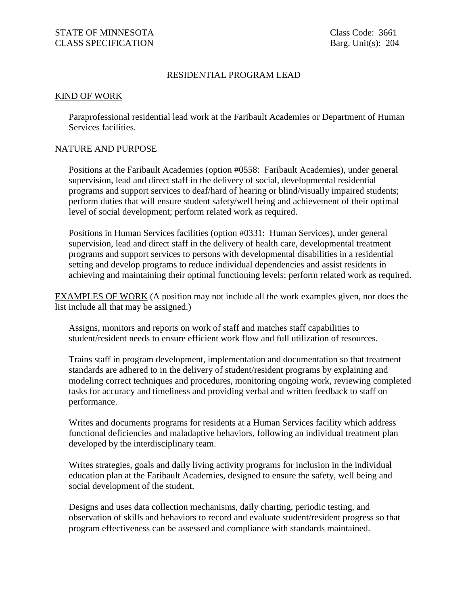# RESIDENTIAL PROGRAM LEAD

### KIND OF WORK

Paraprofessional residential lead work at the Faribault Academies or Department of Human Services facilities.

### NATURE AND PURPOSE

Positions at the Faribault Academies (option #0558: Faribault Academies), under general supervision, lead and direct staff in the delivery of social, developmental residential programs and support services to deaf/hard of hearing or blind/visually impaired students; perform duties that will ensure student safety/well being and achievement of their optimal level of social development; perform related work as required.

Positions in Human Services facilities (option #0331: Human Services), under general supervision, lead and direct staff in the delivery of health care, developmental treatment programs and support services to persons with developmental disabilities in a residential setting and develop programs to reduce individual dependencies and assist residents in achieving and maintaining their optimal functioning levels; perform related work as required.

EXAMPLES OF WORK (A position may not include all the work examples given, nor does the list include all that may be assigned.)

Assigns, monitors and reports on work of staff and matches staff capabilities to student/resident needs to ensure efficient work flow and full utilization of resources.

Trains staff in program development, implementation and documentation so that treatment standards are adhered to in the delivery of student/resident programs by explaining and modeling correct techniques and procedures, monitoring ongoing work, reviewing completed tasks for accuracy and timeliness and providing verbal and written feedback to staff on performance.

Writes and documents programs for residents at a Human Services facility which address functional deficiencies and maladaptive behaviors, following an individual treatment plan developed by the interdisciplinary team.

Writes strategies, goals and daily living activity programs for inclusion in the individual education plan at the Faribault Academies, designed to ensure the safety, well being and social development of the student.

Designs and uses data collection mechanisms, daily charting, periodic testing, and observation of skills and behaviors to record and evaluate student/resident progress so that program effectiveness can be assessed and compliance with standards maintained.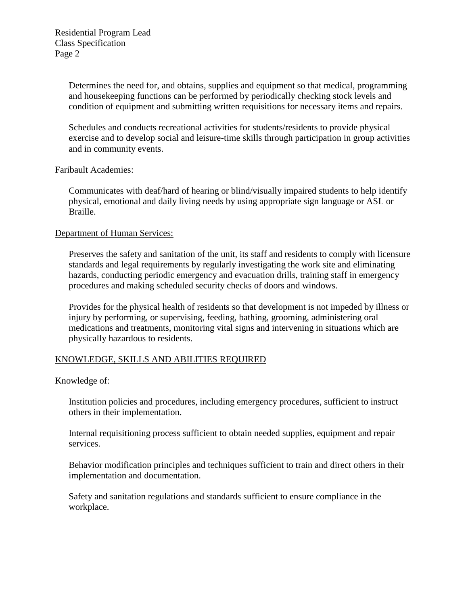Determines the need for, and obtains, supplies and equipment so that medical, programming and housekeeping functions can be performed by periodically checking stock levels and condition of equipment and submitting written requisitions for necessary items and repairs.

Schedules and conducts recreational activities for students/residents to provide physical exercise and to develop social and leisure-time skills through participation in group activities and in community events.

## Faribault Academies:

Communicates with deaf/hard of hearing or blind/visually impaired students to help identify physical, emotional and daily living needs by using appropriate sign language or ASL or Braille.

## Department of Human Services:

Preserves the safety and sanitation of the unit, its staff and residents to comply with licensure standards and legal requirements by regularly investigating the work site and eliminating hazards, conducting periodic emergency and evacuation drills, training staff in emergency procedures and making scheduled security checks of doors and windows.

Provides for the physical health of residents so that development is not impeded by illness or injury by performing, or supervising, feeding, bathing, grooming, administering oral medications and treatments, monitoring vital signs and intervening in situations which are physically hazardous to residents.

## KNOWLEDGE, SKILLS AND ABILITIES REQUIRED

Knowledge of:

Institution policies and procedures, including emergency procedures, sufficient to instruct others in their implementation.

Internal requisitioning process sufficient to obtain needed supplies, equipment and repair services.

Behavior modification principles and techniques sufficient to train and direct others in their implementation and documentation.

Safety and sanitation regulations and standards sufficient to ensure compliance in the workplace.